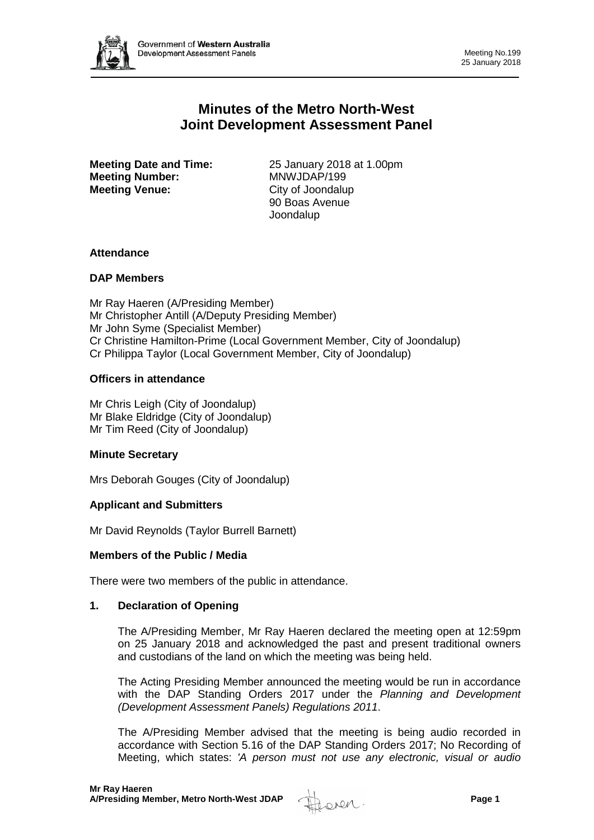

# **Minutes of the Metro North-West Joint Development Assessment Panel**

**Meeting Number:** MNWJDAP/199 **Meeting Venue:** City of Joondalup

**Meeting Date and Time:** 25 January 2018 at 1.00pm 90 Boas Avenue Joondalup

## **Attendance**

## **DAP Members**

Mr Ray Haeren (A/Presiding Member) Mr Christopher Antill (A/Deputy Presiding Member) Mr John Syme (Specialist Member) Cr Christine Hamilton-Prime (Local Government Member, City of Joondalup) Cr Philippa Taylor (Local Government Member, City of Joondalup)

## **Officers in attendance**

Mr Chris Leigh (City of Joondalup) Mr Blake Eldridge (City of Joondalup) Mr Tim Reed (City of Joondalup)

## **Minute Secretary**

Mrs Deborah Gouges (City of Joondalup)

## **Applicant and Submitters**

Mr David Reynolds (Taylor Burrell Barnett)

#### **Members of the Public / Media**

There were two members of the public in attendance.

#### **1. Declaration of Opening**

The A/Presiding Member, Mr Ray Haeren declared the meeting open at 12:59pm on 25 January 2018 and acknowledged the past and present traditional owners and custodians of the land on which the meeting was being held.

The Acting Presiding Member announced the meeting would be run in accordance with the DAP Standing Orders 2017 under the *Planning and Development (Development Assessment Panels) Regulations 2011*.

The A/Presiding Member advised that the meeting is being audio recorded in accordance with Section 5.16 of the DAP Standing Orders 2017; No Recording of Meeting, which states: *'A person must not use any electronic, visual or audio* 

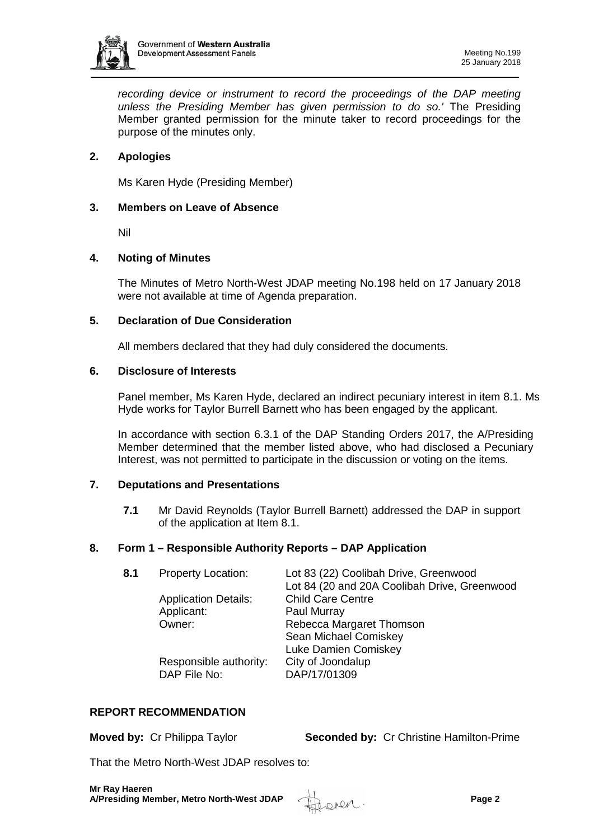

*recording device or instrument to record the proceedings of the DAP meeting unless the Presiding Member has given permission to do so.'* The Presiding Member granted permission for the minute taker to record proceedings for the purpose of the minutes only.

## **2. Apologies**

Ms Karen Hyde (Presiding Member)

## **3. Members on Leave of Absence**

Nil

## **4. Noting of Minutes**

The Minutes of Metro North-West JDAP meeting No.198 held on 17 January 2018 were not available at time of Agenda preparation.

## **5. Declaration of Due Consideration**

All members declared that they had duly considered the documents.

## **6. Disclosure of Interests**

Panel member, Ms Karen Hyde, declared an indirect pecuniary interest in item 8.1. Ms Hyde works for Taylor Burrell Barnett who has been engaged by the applicant.

In accordance with section 6.3.1 of the DAP Standing Orders 2017, the A/Presiding Member determined that the member listed above, who had disclosed a Pecuniary Interest, was not permitted to participate in the discussion or voting on the items.

## **7. Deputations and Presentations**

**7.1** Mr David Reynolds (Taylor Burrell Barnett) addressed the DAP in support of the application at Item 8.1.

## **8. Form 1 – Responsible Authority Reports – DAP Application**

| 8.1 | <b>Property Location:</b>   | Lot 83 (22) Coolibah Drive, Greenwood        |
|-----|-----------------------------|----------------------------------------------|
|     |                             | Lot 84 (20 and 20A Coolibah Drive, Greenwood |
|     | <b>Application Details:</b> | <b>Child Care Centre</b>                     |
|     | Applicant:                  | Paul Murray                                  |
|     | Owner:                      | Rebecca Margaret Thomson                     |
|     |                             | Sean Michael Comiskey                        |
|     |                             | Luke Damien Comiskey                         |
|     | Responsible authority:      | City of Joondalup                            |
|     | DAP File No:                | DAP/17/01309                                 |
|     |                             |                                              |

#### **REPORT RECOMMENDATION**

**Moved by:** Cr Philippa Taylor **Seconded by:** Cr Christine Hamilton-Prime

That the Metro North-West JDAP resolves to:

**Mr Ray Haeren A/Presiding Member, Metro North-West JDAP Page 2** 

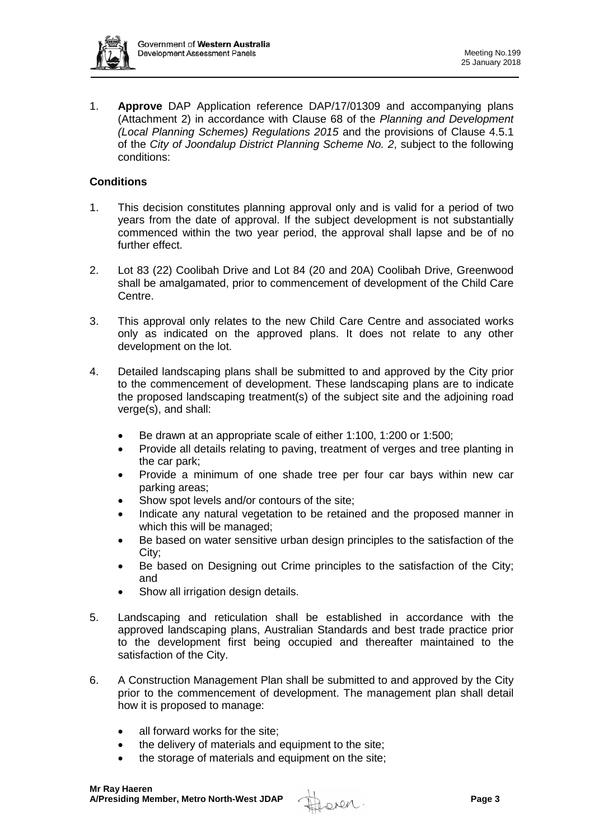

1. **Approve** DAP Application reference DAP/17/01309 and accompanying plans (Attachment 2) in accordance with Clause 68 of the *Planning and Development (Local Planning Schemes) Regulations 2015* and the provisions of Clause 4.5.1 of the *City of Joondalup District Planning Scheme No. 2*, subject to the following conditions:

## **Conditions**

- 1. This decision constitutes planning approval only and is valid for a period of two years from the date of approval. If the subject development is not substantially commenced within the two year period, the approval shall lapse and be of no further effect.
- 2. Lot 83 (22) Coolibah Drive and Lot 84 (20 and 20A) Coolibah Drive, Greenwood shall be amalgamated, prior to commencement of development of the Child Care Centre.
- 3. This approval only relates to the new Child Care Centre and associated works only as indicated on the approved plans. It does not relate to any other development on the lot.
- 4. Detailed landscaping plans shall be submitted to and approved by the City prior to the commencement of development. These landscaping plans are to indicate the proposed landscaping treatment(s) of the subject site and the adjoining road verge(s), and shall:
	- Be drawn at an appropriate scale of either 1:100, 1:200 or 1:500;
	- Provide all details relating to paving, treatment of verges and tree planting in the car park;
	- Provide a minimum of one shade tree per four car bays within new car parking areas;
	- Show spot levels and/or contours of the site:
	- Indicate any natural vegetation to be retained and the proposed manner in which this will be managed;
	- Be based on water sensitive urban design principles to the satisfaction of the City;
	- Be based on Designing out Crime principles to the satisfaction of the City; and
	- Show all irrigation design details.
- 5. Landscaping and reticulation shall be established in accordance with the approved landscaping plans, Australian Standards and best trade practice prior to the development first being occupied and thereafter maintained to the satisfaction of the City.
- 6. A Construction Management Plan shall be submitted to and approved by the City prior to the commencement of development. The management plan shall detail how it is proposed to manage:
	- all forward works for the site;
	- the delivery of materials and equipment to the site;
	- the storage of materials and equipment on the site;

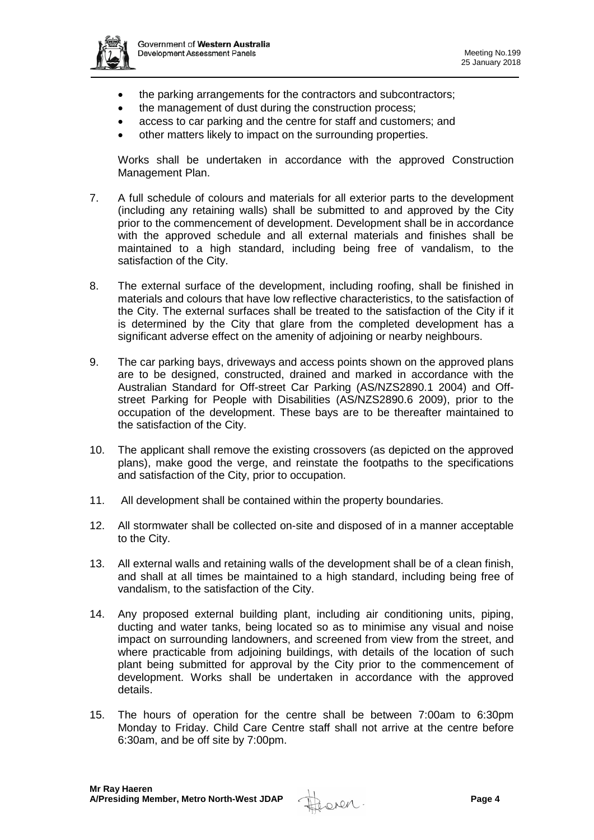

- the parking arrangements for the contractors and subcontractors;
- the management of dust during the construction process:
- access to car parking and the centre for staff and customers; and
- other matters likely to impact on the surrounding properties.

Works shall be undertaken in accordance with the approved Construction Management Plan.

- 7. A full schedule of colours and materials for all exterior parts to the development (including any retaining walls) shall be submitted to and approved by the City prior to the commencement of development. Development shall be in accordance with the approved schedule and all external materials and finishes shall be maintained to a high standard, including being free of vandalism, to the satisfaction of the City.
- 8. The external surface of the development, including roofing, shall be finished in materials and colours that have low reflective characteristics, to the satisfaction of the City. The external surfaces shall be treated to the satisfaction of the City if it is determined by the City that glare from the completed development has a significant adverse effect on the amenity of adjoining or nearby neighbours.
- 9. The car parking bays, driveways and access points shown on the approved plans are to be designed, constructed, drained and marked in accordance with the Australian Standard for Off-street Car Parking (AS/NZS2890.1 2004) and Offstreet Parking for People with Disabilities (AS/NZS2890.6 2009), prior to the occupation of the development. These bays are to be thereafter maintained to the satisfaction of the City.
- 10. The applicant shall remove the existing crossovers (as depicted on the approved plans), make good the verge, and reinstate the footpaths to the specifications and satisfaction of the City, prior to occupation.
- 11. All development shall be contained within the property boundaries.
- 12. All stormwater shall be collected on-site and disposed of in a manner acceptable to the City.
- 13. All external walls and retaining walls of the development shall be of a clean finish, and shall at all times be maintained to a high standard, including being free of vandalism, to the satisfaction of the City.
- 14. Any proposed external building plant, including air conditioning units, piping, ducting and water tanks, being located so as to minimise any visual and noise impact on surrounding landowners, and screened from view from the street, and where practicable from adjoining buildings, with details of the location of such plant being submitted for approval by the City prior to the commencement of development. Works shall be undertaken in accordance with the approved details.
- 15. The hours of operation for the centre shall be between 7:00am to 6:30pm Monday to Friday. Child Care Centre staff shall not arrive at the centre before 6:30am, and be off site by 7:00pm.

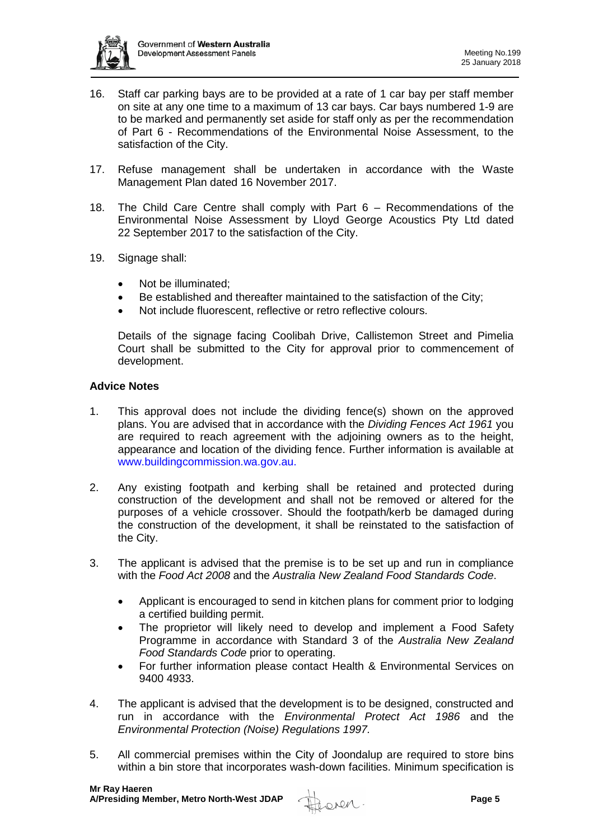

- 16. Staff car parking bays are to be provided at a rate of 1 car bay per staff member on site at any one time to a maximum of 13 car bays. Car bays numbered 1-9 are to be marked and permanently set aside for staff only as per the recommendation of Part 6 - Recommendations of the Environmental Noise Assessment, to the satisfaction of the City.
- 17. Refuse management shall be undertaken in accordance with the Waste Management Plan dated 16 November 2017.
- 18. The Child Care Centre shall comply with Part 6 Recommendations of the Environmental Noise Assessment by Lloyd George Acoustics Pty Ltd dated 22 September 2017 to the satisfaction of the City.
- 19. Signage shall:
	- Not be illuminated;
	- Be established and thereafter maintained to the satisfaction of the City;
	- Not include fluorescent, reflective or retro reflective colours.

Details of the signage facing Coolibah Drive, Callistemon Street and Pimelia Court shall be submitted to the City for approval prior to commencement of development.

## **Advice Notes**

- 1. This approval does not include the dividing fence(s) shown on the approved plans. You are advised that in accordance with the *Dividing Fences Act 1961* you are required to reach agreement with the adjoining owners as to the height, appearance and location of the dividing fence. Further information is available at [www.buildingcommission.wa.gov.au.](http://www.buildingcommission.wa.gov.au/)
- 2. Any existing footpath and kerbing shall be retained and protected during construction of the development and shall not be removed or altered for the purposes of a vehicle crossover. Should the footpath/kerb be damaged during the construction of the development, it shall be reinstated to the satisfaction of the City.
- 3. The applicant is advised that the premise is to be set up and run in compliance with the *Food Act 2008* and the *Australia New Zealand Food Standards Code*.
	- Applicant is encouraged to send in kitchen plans for comment prior to lodging a certified building permit.
	- The proprietor will likely need to develop and implement a Food Safety Programme in accordance with Standard 3 of the *Australia New Zealand Food Standards Code* prior to operating.
	- For further information please contact Health & Environmental Services on 9400 4933.
- 4. The applicant is advised that the development is to be designed, constructed and run in accordance with the *Environmental Protect Act 1986* and the *Environmental Protection (Noise) Regulations 1997.*
- 5. All commercial premises within the City of Joondalup are required to store bins within a bin store that incorporates wash-down facilities. Minimum specification is

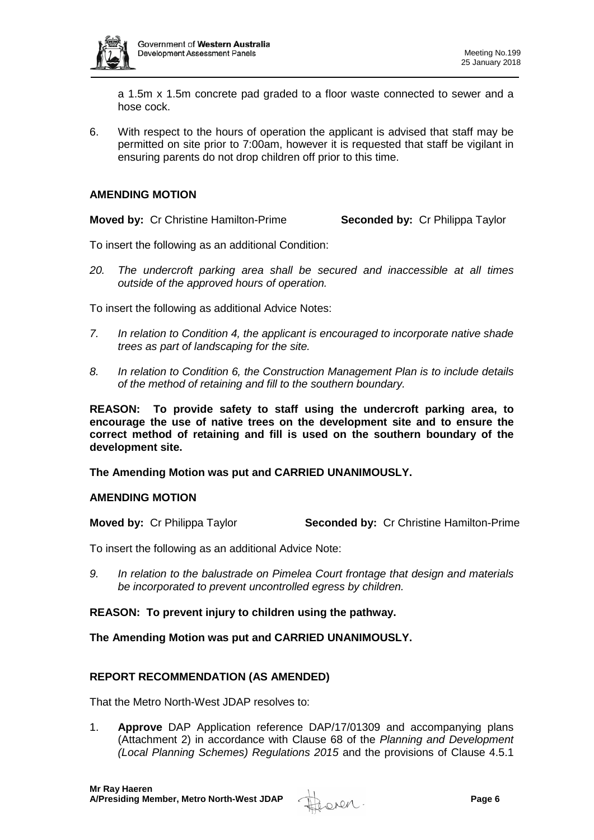

a 1.5m x 1.5m concrete pad graded to a floor waste connected to sewer and a hose cock.

6. With respect to the hours of operation the applicant is advised that staff may be permitted on site prior to 7:00am, however it is requested that staff be vigilant in ensuring parents do not drop children off prior to this time.

## **AMENDING MOTION**

**Moved by:** Cr Christine Hamilton-Prime **Seconded by:** Cr Philippa Taylor

To insert the following as an additional Condition:

*20. The undercroft parking area shall be secured and inaccessible at all times outside of the approved hours of operation.* 

To insert the following as additional Advice Notes:

- *7. In relation to Condition 4, the applicant is encouraged to incorporate native shade trees as part of landscaping for the site.*
- *8. In relation to Condition 6, the Construction Management Plan is to include details of the method of retaining and fill to the southern boundary.*

**REASON: To provide safety to staff using the undercroft parking area, to encourage the use of native trees on the development site and to ensure the correct method of retaining and fill is used on the southern boundary of the development site.** 

**The Amending Motion was put and CARRIED UNANIMOUSLY.**

#### **AMENDING MOTION**

**Moved by:** Cr Philippa Taylor **Seconded by:** Cr Christine Hamilton-Prime

To insert the following as an additional Advice Note:

*9. In relation to the balustrade on Pimelea Court frontage that design and materials be incorporated to prevent uncontrolled egress by children.* 

## **REASON: To prevent injury to children using the pathway.**

**The Amending Motion was put and CARRIED UNANIMOUSLY.**

## **REPORT RECOMMENDATION (AS AMENDED)**

That the Metro North-West JDAP resolves to:

1. **Approve** DAP Application reference DAP/17/01309 and accompanying plans (Attachment 2) in accordance with Clause 68 of the *Planning and Development (Local Planning Schemes) Regulations 2015* and the provisions of Clause 4.5.1

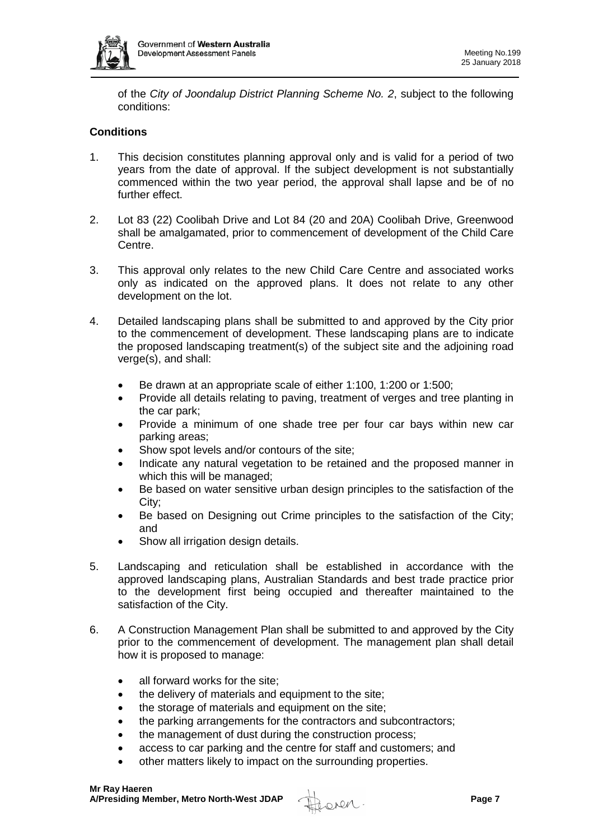

of the *City of Joondalup District Planning Scheme No. 2*, subject to the following conditions:

## **Conditions**

- 1. This decision constitutes planning approval only and is valid for a period of two years from the date of approval. If the subject development is not substantially commenced within the two year period, the approval shall lapse and be of no further effect.
- 2. Lot 83 (22) Coolibah Drive and Lot 84 (20 and 20A) Coolibah Drive, Greenwood shall be amalgamated, prior to commencement of development of the Child Care Centre.
- 3. This approval only relates to the new Child Care Centre and associated works only as indicated on the approved plans. It does not relate to any other development on the lot.
- 4. Detailed landscaping plans shall be submitted to and approved by the City prior to the commencement of development. These landscaping plans are to indicate the proposed landscaping treatment(s) of the subject site and the adjoining road verge(s), and shall:
	- Be drawn at an appropriate scale of either 1:100, 1:200 or 1:500;
	- Provide all details relating to paving, treatment of verges and tree planting in the car park;
	- Provide a minimum of one shade tree per four car bays within new car parking areas;
	- Show spot levels and/or contours of the site;
	- Indicate any natural vegetation to be retained and the proposed manner in which this will be managed;
	- Be based on water sensitive urban design principles to the satisfaction of the City;
	- Be based on Designing out Crime principles to the satisfaction of the City; and
	- Show all irrigation design details.
- 5. Landscaping and reticulation shall be established in accordance with the approved landscaping plans, Australian Standards and best trade practice prior to the development first being occupied and thereafter maintained to the satisfaction of the City.
- 6. A Construction Management Plan shall be submitted to and approved by the City prior to the commencement of development. The management plan shall detail how it is proposed to manage:
	- all forward works for the site;
	- the delivery of materials and equipment to the site:
	- the storage of materials and equipment on the site:
	- the parking arrangements for the contractors and subcontractors;
	- the management of dust during the construction process;
	- access to car parking and the centre for staff and customers; and
	- other matters likely to impact on the surrounding properties.

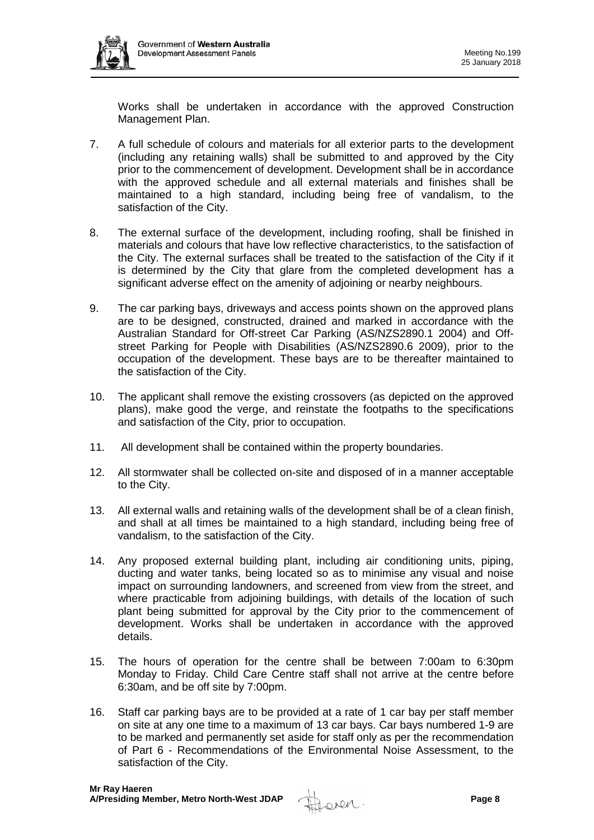Works shall be undertaken in accordance with the approved Construction Management Plan.

- 7. A full schedule of colours and materials for all exterior parts to the development (including any retaining walls) shall be submitted to and approved by the City prior to the commencement of development. Development shall be in accordance with the approved schedule and all external materials and finishes shall be maintained to a high standard, including being free of vandalism, to the satisfaction of the City.
- 8. The external surface of the development, including roofing, shall be finished in materials and colours that have low reflective characteristics, to the satisfaction of the City. The external surfaces shall be treated to the satisfaction of the City if it is determined by the City that glare from the completed development has a significant adverse effect on the amenity of adjoining or nearby neighbours.
- 9. The car parking bays, driveways and access points shown on the approved plans are to be designed, constructed, drained and marked in accordance with the Australian Standard for Off-street Car Parking (AS/NZS2890.1 2004) and Offstreet Parking for People with Disabilities (AS/NZS2890.6 2009), prior to the occupation of the development. These bays are to be thereafter maintained to the satisfaction of the City.
- 10. The applicant shall remove the existing crossovers (as depicted on the approved plans), make good the verge, and reinstate the footpaths to the specifications and satisfaction of the City, prior to occupation.
- 11. All development shall be contained within the property boundaries.
- 12. All stormwater shall be collected on-site and disposed of in a manner acceptable to the City.
- 13. All external walls and retaining walls of the development shall be of a clean finish, and shall at all times be maintained to a high standard, including being free of vandalism, to the satisfaction of the City.
- 14. Any proposed external building plant, including air conditioning units, piping, ducting and water tanks, being located so as to minimise any visual and noise impact on surrounding landowners, and screened from view from the street, and where practicable from adjoining buildings, with details of the location of such plant being submitted for approval by the City prior to the commencement of development. Works shall be undertaken in accordance with the approved details.
- 15. The hours of operation for the centre shall be between 7:00am to 6:30pm Monday to Friday. Child Care Centre staff shall not arrive at the centre before 6:30am, and be off site by 7:00pm.
- 16. Staff car parking bays are to be provided at a rate of 1 car bay per staff member on site at any one time to a maximum of 13 car bays. Car bays numbered 1-9 are to be marked and permanently set aside for staff only as per the recommendation of Part 6 - Recommendations of the Environmental Noise Assessment, to the satisfaction of the City.

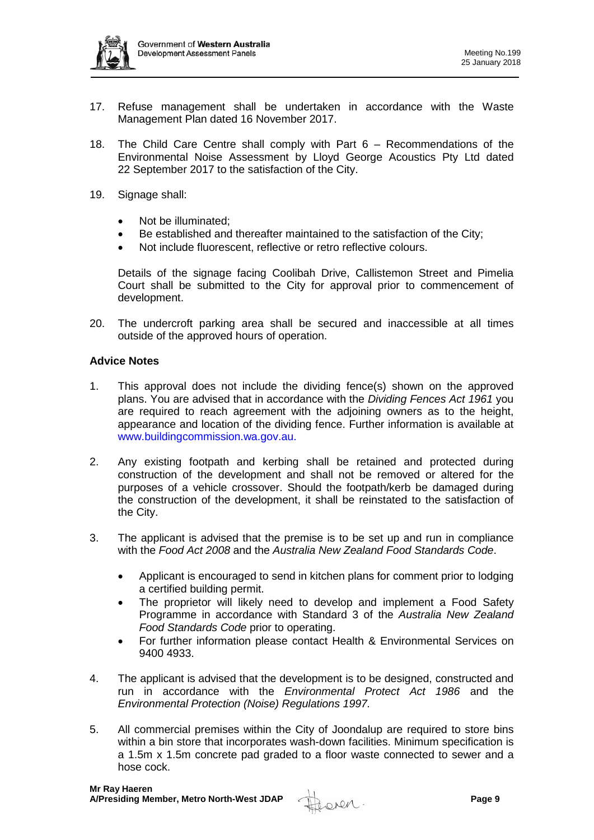

- 17. Refuse management shall be undertaken in accordance with the Waste Management Plan dated 16 November 2017.
- 18. The Child Care Centre shall comply with Part 6 Recommendations of the Environmental Noise Assessment by Lloyd George Acoustics Pty Ltd dated 22 September 2017 to the satisfaction of the City.
- 19. Signage shall:
	- Not be illuminated;
	- Be established and thereafter maintained to the satisfaction of the City;
	- Not include fluorescent, reflective or retro reflective colours.

Details of the signage facing Coolibah Drive, Callistemon Street and Pimelia Court shall be submitted to the City for approval prior to commencement of development.

20. The undercroft parking area shall be secured and inaccessible at all times outside of the approved hours of operation.

## **Advice Notes**

- 1. This approval does not include the dividing fence(s) shown on the approved plans. You are advised that in accordance with the *Dividing Fences Act 1961* you are required to reach agreement with the adjoining owners as to the height, appearance and location of the dividing fence. Further information is available at [www.buildingcommission.wa.gov.au.](http://www.buildingcommission.wa.gov.au/)
- 2. Any existing footpath and kerbing shall be retained and protected during construction of the development and shall not be removed or altered for the purposes of a vehicle crossover. Should the footpath/kerb be damaged during the construction of the development, it shall be reinstated to the satisfaction of the City.
- 3. The applicant is advised that the premise is to be set up and run in compliance with the *Food Act 2008* and the *Australia New Zealand Food Standards Code*.
	- Applicant is encouraged to send in kitchen plans for comment prior to lodging a certified building permit.
	- The proprietor will likely need to develop and implement a Food Safety Programme in accordance with Standard 3 of the *Australia New Zealand Food Standards Code* prior to operating.
	- For further information please contact Health & Environmental Services on 9400 4933.
- 4. The applicant is advised that the development is to be designed, constructed and run in accordance with the *Environmental Protect Act 1986* and the *Environmental Protection (Noise) Regulations 1997.*
- 5. All commercial premises within the City of Joondalup are required to store bins within a bin store that incorporates wash-down facilities. Minimum specification is a 1.5m x 1.5m concrete pad graded to a floor waste connected to sewer and a hose cock.